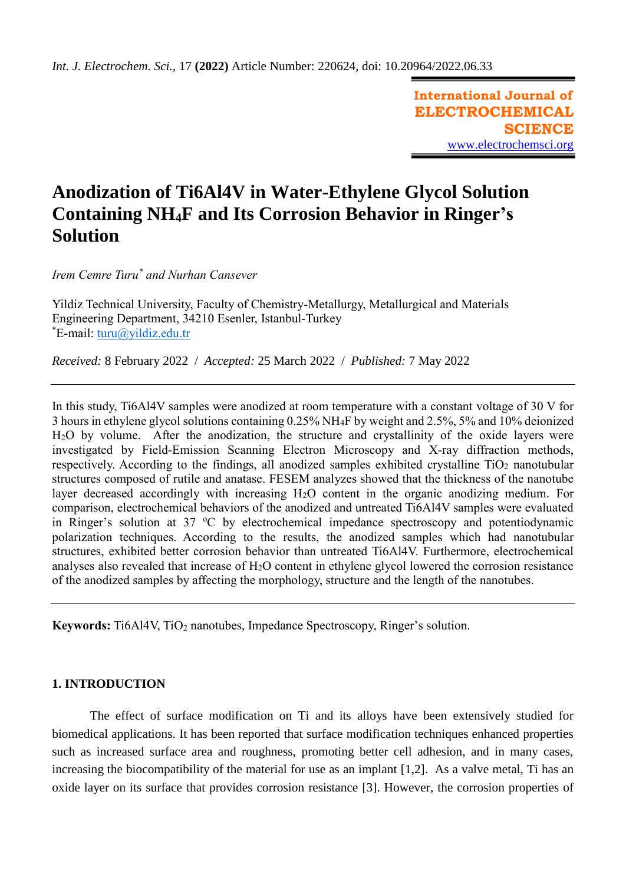**International Journal of ELECTROCHEMICAL SCIENCE** [www.electrochemsci.org](http://www.electrochemsci.org/)

# **Anodization of Ti6Al4V in Water-Ethylene Glycol Solution Containing NH4F and Its Corrosion Behavior in Ringer's Solution**

*Irem Cemre Turu \* and Nurhan Cansever*

Yildiz Technical University, Faculty of Chemistry-Metallurgy, Metallurgical and Materials Engineering Department, 34210 Esenler, Istanbul-Turkey  $E$ -mail: [turu@yildiz.edu.tr](mailto:turu@yildiz.edu.tr)

*Received:* 8 February 2022/ *Accepted:* 25 March 2022 / *Published:* 7 May 2022

In this study, Ti6Al4V samples were anodized at room temperature with a constant voltage of 30 V for 3 hours in ethylene glycol solutions containing 0.25% NH4F by weight and 2.5%, 5% and 10% deionized H2O by volume. After the anodization, the structure and crystallinity of the oxide layers were investigated by Field-Emission Scanning Electron Microscopy and X-ray diffraction methods, respectively. According to the findings, all anodized samples exhibited crystalline  $TiO<sub>2</sub>$  nanotubular structures composed of rutile and anatase. FESEM analyzes showed that the thickness of the nanotube layer decreased accordingly with increasing H2O content in the organic anodizing medium. For comparison, electrochemical behaviors of the anodized and untreated Ti6Al4V samples were evaluated in Ringer's solution at  $37 \text{ °C}$  by electrochemical impedance spectroscopy and potentiodynamic polarization techniques. According to the results, the anodized samples which had nanotubular structures, exhibited better corrosion behavior than untreated Ti6Al4V. Furthermore, electrochemical analyses also revealed that increase of H2O content in ethylene glycol lowered the corrosion resistance of the anodized samples by affecting the morphology, structure and the length of the nanotubes.

**Keywords:** Ti6Al4V, TiO<sub>2</sub> nanotubes, Impedance Spectroscopy, Ringer's solution.

# **1. INTRODUCTION**

The effect of surface modification on Ti and its alloys have been extensively studied for biomedical applications. It has been reported that surface modification techniques enhanced properties such as increased surface area and roughness, promoting better cell adhesion, and in many cases, increasing the biocompatibility of the material for use as an implant [1,2]. As a valve metal, Ti has an oxide layer on its surface that provides corrosion resistance [3]. However, the corrosion properties of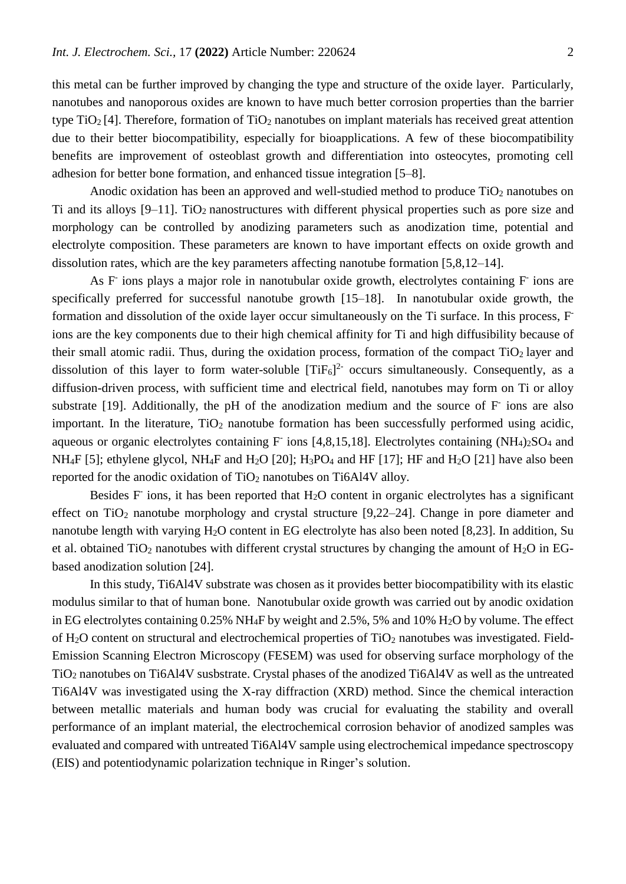this metal can be further improved by changing the type and structure of the oxide layer. Particularly, nanotubes and nanoporous oxides are known to have much better corrosion properties than the barrier type  $TiO<sub>2</sub> [4]$ . Therefore, formation of  $TiO<sub>2</sub>$  nanotubes on implant materials has received great attention due to their better biocompatibility, especially for bioapplications. A few of these biocompatibility benefits are improvement of osteoblast growth and differentiation into osteocytes, promoting cell adhesion for better bone formation, and enhanced tissue integration [5–8].

Anodic oxidation has been an approved and well-studied method to produce TiO<sub>2</sub> nanotubes on Ti and its alloys [9–11]. TiO2 nanostructures with different physical properties such as pore size and morphology can be controlled by anodizing parameters such as anodization time, potential and electrolyte composition. These parameters are known to have important effects on oxide growth and dissolution rates, which are the key parameters affecting nanotube formation [5,8,12–14].

As F ions plays a major role in nanotubular oxide growth, electrolytes containing F ions are specifically preferred for successful nanotube growth [15–18]. In nanotubular oxide growth, the formation and dissolution of the oxide layer occur simultaneously on the Ti surface. In this process, F ions are the key components due to their high chemical affinity for Ti and high diffusibility because of their small atomic radii. Thus, during the oxidation process, formation of the compact  $TiO<sub>2</sub>$  layer and dissolution of this layer to form water-soluble  $[TiF_6]^2$  occurs simultaneously. Consequently, as a diffusion-driven process, with sufficient time and electrical field, nanotubes may form on Ti or alloy substrate [19]. Additionally, the pH of the anodization medium and the source of F ions are also important. In the literature,  $TiO<sub>2</sub>$  nanotube formation has been successfully performed using acidic, aqueous or organic electrolytes containing F ions [4,8,15,18]. Electrolytes containing (NH<sub>4</sub>)<sub>2</sub>SO<sub>4</sub> and NH<sub>4</sub>F [5]; ethylene glycol, NH<sub>4</sub>F and H<sub>2</sub>O [20]; H<sub>3</sub>PO<sub>4</sub> and HF [17]; HF and H<sub>2</sub>O [21] have also been reported for the anodic oxidation of TiO<sub>2</sub> nanotubes on Ti6Al4V alloy.

Besides F ions, it has been reported that H<sub>2</sub>O content in organic electrolytes has a significant effect on  $TiO<sub>2</sub>$  nanotube morphology and crystal structure [9,22–24]. Change in pore diameter and nanotube length with varying H<sub>2</sub>O content in EG electrolyte has also been noted [8,23]. In addition, Su et al. obtained TiO<sub>2</sub> nanotubes with different crystal structures by changing the amount of H<sub>2</sub>O in EGbased anodization solution [24].

In this study, Ti6Al4V substrate was chosen as it provides better biocompatibility with its elastic modulus similar to that of human bone. Nanotubular oxide growth was carried out by anodic oxidation in EG electrolytes containing 0.25% NH<sub>4</sub>F by weight and 2.5%, 5% and 10% H<sub>2</sub>O by volume. The effect of  $H_2O$  content on structural and electrochemical properties of TiO<sub>2</sub> nanotubes was investigated. Field-Emission Scanning Electron Microscopy (FESEM) was used for observing surface morphology of the TiO<sup>2</sup> nanotubes on Ti6Al4V susbstrate. Crystal phases of the anodized Ti6Al4V as well as the untreated Ti6Al4V was investigated using the X-ray diffraction (XRD) method. Since the chemical interaction between metallic materials and human body was crucial for evaluating the stability and overall performance of an implant material, the electrochemical corrosion behavior of anodized samples was evaluated and compared with untreated Ti6Al4V sample using electrochemical impedance spectroscopy (EIS) and potentiodynamic polarization technique in Ringer's solution.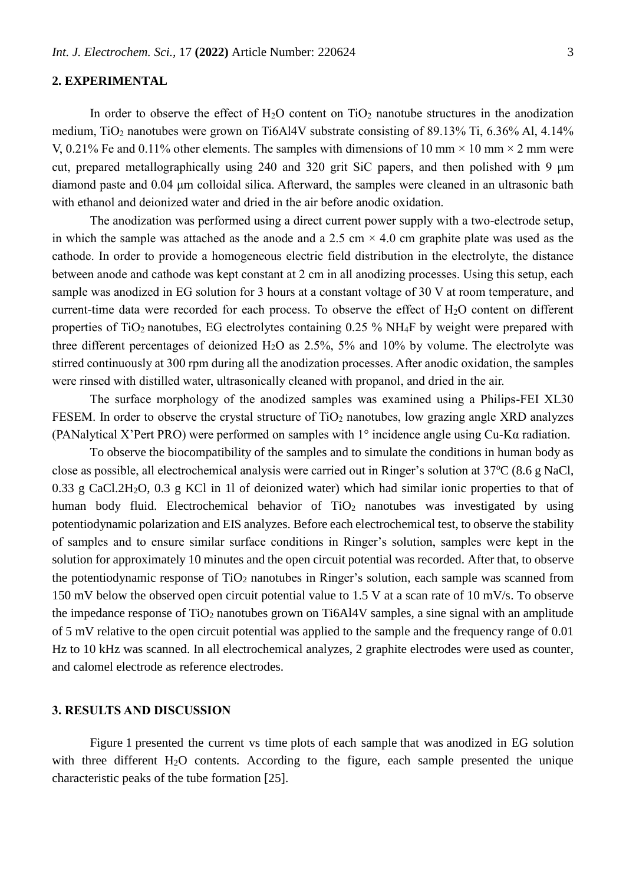# **2. EXPERIMENTAL**

In order to observe the effect of  $H_2O$  content on  $TiO_2$  nanotube structures in the anodization medium, TiO<sub>2</sub> nanotubes were grown on Ti6Al4V substrate consisting of 89.13% Ti, 6.36% Al, 4.14% V, 0.21% Fe and 0.11% other elements. The samples with dimensions of 10 mm  $\times$  10 mm  $\times$  2 mm were cut, prepared metallographically using 240 and 320 grit SiC papers, and then polished with 9 μm diamond paste and 0.04 μm colloidal silica. Afterward, the samples were cleaned in an ultrasonic bath with ethanol and deionized water and dried in the air before anodic oxidation.

The anodization was performed using a direct current power supply with a two-electrode setup, in which the sample was attached as the anode and a 2.5 cm  $\times$  4.0 cm graphite plate was used as the cathode. In order to provide a homogeneous electric field distribution in the electrolyte, the distance between anode and cathode was kept constant at 2 cm in all anodizing processes. Using this setup, each sample was anodized in EG solution for 3 hours at a constant voltage of 30 V at room temperature, and current-time data were recorded for each process. To observe the effect of  $H_2O$  content on different properties of TiO<sub>2</sub> nanotubes, EG electrolytes containing  $0.25\%$  NH<sub>4</sub>F by weight were prepared with three different percentages of deionized  $H_2O$  as 2.5%, 5% and 10% by volume. The electrolyte was stirred continuously at 300 rpm during all the anodization processes. After anodic oxidation, the samples were rinsed with distilled water, ultrasonically cleaned with propanol, and dried in the air.

The surface morphology of the anodized samples was examined using a Philips-FEI XL30 FESEM. In order to observe the crystal structure of  $TiO<sub>2</sub>$  nanotubes, low grazing angle XRD analyzes (PANalytical X'Pert PRO) were performed on samples with 1° incidence angle using Cu-Kα radiation.

To observe the biocompatibility of the samples and to simulate the conditions in human body as close as possible, all electrochemical analysis were carried out in Ringer's solution at  $37^{\circ}C$  (8.6 g NaCl, 0.33 g CaCl.2H2O, 0.3 g KCl in 1l of deionized water) which had similar ionic properties to that of human body fluid. Electrochemical behavior of TiO<sub>2</sub> nanotubes was investigated by using potentiodynamic polarization and EIS analyzes. Before each electrochemical test, to observe the stability of samples and to ensure similar surface conditions in Ringer's solution, samples were kept in the solution for approximately 10 minutes and the open circuit potential was recorded. After that, to observe the potentiodynamic response of  $TiO<sub>2</sub>$  nanotubes in Ringer's solution, each sample was scanned from 150 mV below the observed open circuit potential value to 1.5 V at a scan rate of 10 mV/s. To observe the impedance response of TiO<sub>2</sub> nanotubes grown on Ti6Al4V samples, a sine signal with an amplitude of 5 mV relative to the open circuit potential was applied to the sample and the frequency range of 0.01 Hz to 10 kHz was scanned. In all electrochemical analyzes, 2 graphite electrodes were used as counter, and calomel electrode as reference electrodes.

### **3. RESULTS AND DISCUSSION**

Figure 1 presented the current vs time plots of each sample that was anodized in EG solution with three different H<sub>2</sub>O contents. According to the figure, each sample presented the unique characteristic peaks of the tube formation [25].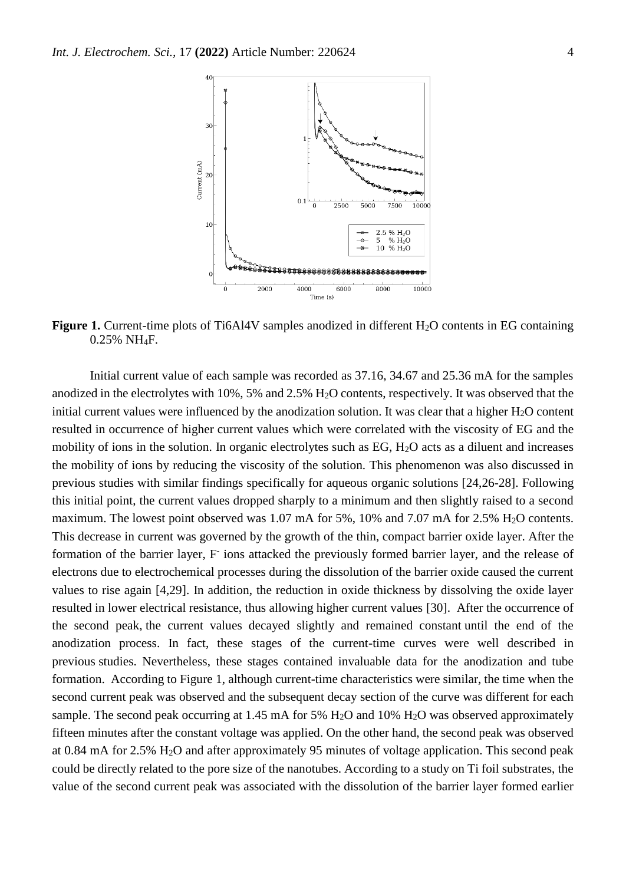

**Figure 1.** Current-time plots of Ti6Al4V samples anodized in different H<sub>2</sub>O contents in EG containing 0.25% NH4F.

Initial current value of each sample was recorded as 37.16, 34.67 and 25.36 mA for the samples anodized in the electrolytes with 10%, 5% and 2.5% H<sub>2</sub>O contents, respectively. It was observed that the initial current values were influenced by the anodization solution. It was clear that a higher H<sub>2</sub>O content resulted in occurrence of higher current values which were correlated with the viscosity of EG and the mobility of ions in the solution. In organic electrolytes such as EG,  $H_2O$  acts as a diluent and increases the mobility of ions by reducing the viscosity of the solution. This phenomenon was also discussed in previous studies with similar findings specifically for aqueous organic solutions [24,26-28]. Following this initial point, the current values dropped sharply to a minimum and then slightly raised to a second maximum. The lowest point observed was 1.07 mA for 5%, 10% and 7.07 mA for 2.5% H<sub>2</sub>O contents. This decrease in current was governed by the growth of the thin, compact barrier oxide layer. After the formation of the barrier layer, F ions attacked the previously formed barrier layer, and the release of electrons due to electrochemical processes during the dissolution of the barrier oxide caused the current values to rise again [4,29]. In addition, the reduction in oxide thickness by dissolving the oxide layer resulted in lower electrical resistance, thus allowing higher current values [30]. After the occurrence of the second peak, the current values decayed slightly and remained constant until the end of the anodization process. In fact, these stages of the current-time curves were well described in previous studies. Nevertheless, these stages contained invaluable data for the anodization and tube formation. According to Figure 1, although current-time characteristics were similar, the time when the second current peak was observed and the subsequent decay section of the curve was different for each sample. The second peak occurring at 1.45 mA for 5%  $H<sub>2</sub>O$  and 10%  $H<sub>2</sub>O$  was observed approximately fifteen minutes after the constant voltage was applied. On the other hand, the second peak was observed at 0.84 mA for 2.5% H2O and after approximately 95 minutes of voltage application. This second peak could be directly related to the pore size of the nanotubes. According to a study on Ti foil substrates, the value of the second current peak was associated with the dissolution of the barrier layer formed earlier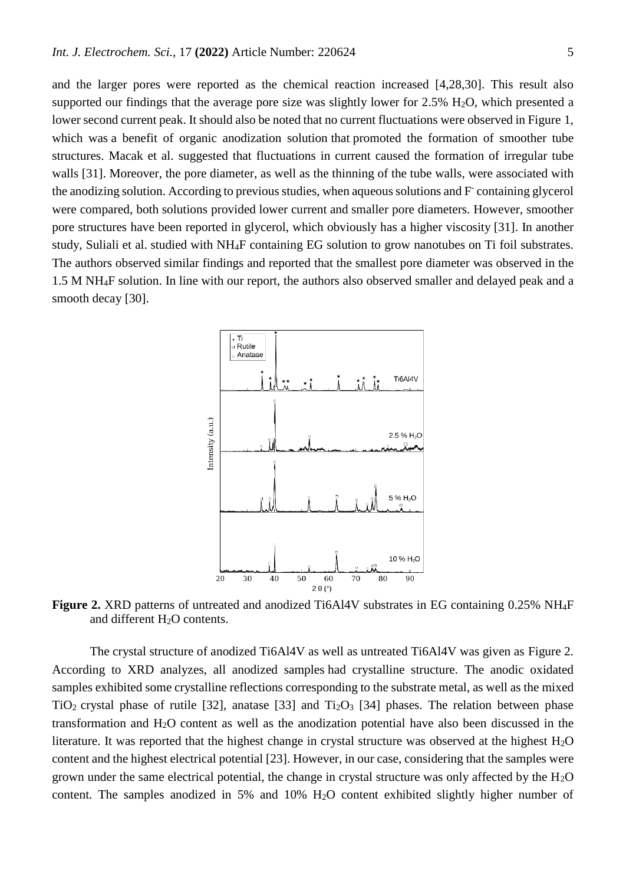and the larger pores were reported as the chemical reaction increased [4,28,30]. This result also supported our findings that the average pore size was slightly lower for  $2.5\%$  H<sub>2</sub>O, which presented a lower second current peak. It should also be noted that no current fluctuations were observed in Figure 1, which was a benefit of organic anodization solution that promoted the formation of smoother tube structures. Macak et al. suggested that fluctuations in current caused the formation of irregular tube walls [31]. Moreover, the pore diameter, as well as the thinning of the tube walls, were associated with the anodizing solution. According to previous studies, when aqueous solutions and F containing glycerol were compared, both solutions provided lower current and smaller pore diameters. However, smoother pore structures have been reported in glycerol, which obviously has a higher viscosity [31]. In another study, Suliali et al. studied with NH4F containing EG solution to grow nanotubes on Ti foil substrates. The authors observed similar findings and reported that the smallest pore diameter was observed in the 1.5 M NH4F solution. In line with our report, the authors also observed smaller and delayed peak and a smooth decay [30].



**Figure 2.** XRD patterns of untreated and anodized Ti6Al4V substrates in EG containing 0.25% NH4F and different  $H<sub>2</sub>O$  contents.

The crystal structure of anodized Ti6Al4V as well as untreated Ti6Al4V was given as Figure 2. According to XRD analyzes, all anodized samples had crystalline structure. The anodic oxidated samples exhibited some crystalline reflections corresponding to the substrate metal, as well as the mixed TiO<sub>2</sub> crystal phase of rutile [32], anatase [33] and Ti<sub>2</sub>O<sub>3</sub> [34] phases. The relation between phase transformation and H2O content as well as the anodization potential have also been discussed in the literature. It was reported that the highest change in crystal structure was observed at the highest H<sub>2</sub>O content and the highest electrical potential [23]. However, in our case, considering that the samples were grown under the same electrical potential, the change in crystal structure was only affected by the  $H_2O$ content. The samples anodized in 5% and 10% H2O content exhibited slightly higher number of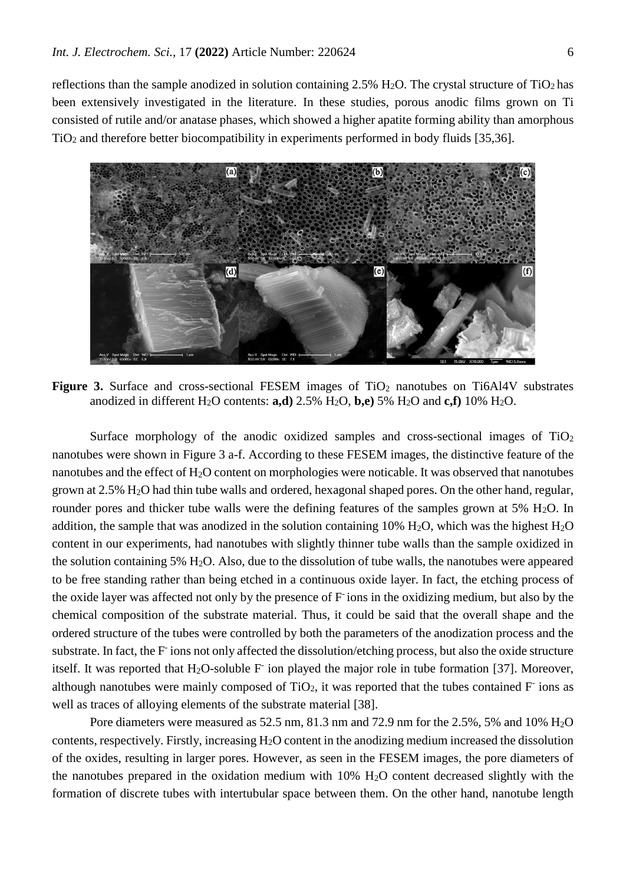reflections than the sample anodized in solution containing  $2.5\%$  H<sub>2</sub>O. The crystal structure of TiO<sub>2</sub> has been extensively investigated in the literature. In these studies, porous anodic films grown on Ti consisted of rutile and/or anatase phases, which showed a higher apatite forming ability than amorphous TiO<sup>2</sup> and therefore better biocompatibility in experiments performed in body fluids [35,36].



**Figure 3.** Surface and cross-sectional FESEM images of TiO<sub>2</sub> nanotubes on Ti6Al4V substrates anodized in different H<sub>2</sub>O contents: **a,d**) 2.5% H<sub>2</sub>O, **b,e**) 5% H<sub>2</sub>O and **c,f**) 10% H<sub>2</sub>O.

Surface morphology of the anodic oxidized samples and cross-sectional images of  $TiO<sub>2</sub>$ nanotubes were shown in Figure 3 a-f. According to these FESEM images, the distinctive feature of the nanotubes and the effect of H<sub>2</sub>O content on morphologies were noticable. It was observed that nanotubes grown at 2.5% H2O had thin tube walls and ordered, hexagonal shaped pores. On the other hand, regular, rounder pores and thicker tube walls were the defining features of the samples grown at  $5\%$  H<sub>2</sub>O. In addition, the sample that was anodized in the solution containing 10% H<sub>2</sub>O, which was the highest H<sub>2</sub>O content in our experiments, had nanotubes with slightly thinner tube walls than the sample oxidized in the solution containing 5% H2O. Also, due to the dissolution of tube walls, the nanotubes were appeared to be free standing rather than being etched in a continuous oxide layer. In fact, the etching process of the oxide layer was affected not only by the presence of F-ions in the oxidizing medium, but also by the chemical composition of the substrate material. Thus, it could be said that the overall shape and the ordered structure of the tubes were controlled by both the parameters of the anodization process and the substrate. In fact, the F ions not only affected the dissolution/etching process, but also the oxide structure itself. It was reported that  $H_2O$ -soluble  $F$  ion played the major role in tube formation [37]. Moreover, although nanotubes were mainly composed of  $TiO<sub>2</sub>$ , it was reported that the tubes contained  $F<sub>1</sub>$  ions as well as traces of alloying elements of the substrate material [38].

Pore diameters were measured as 52.5 nm, 81.3 nm and 72.9 nm for the 2.5%, 5% and 10% H2O contents, respectively. Firstly, increasing H2O content in the anodizing medium increased the dissolution of the oxides, resulting in larger pores. However, as seen in the FESEM images, the pore diameters of the nanotubes prepared in the oxidation medium with 10% H2O content decreased slightly with the formation of discrete tubes with intertubular space between them. On the other hand, nanotube length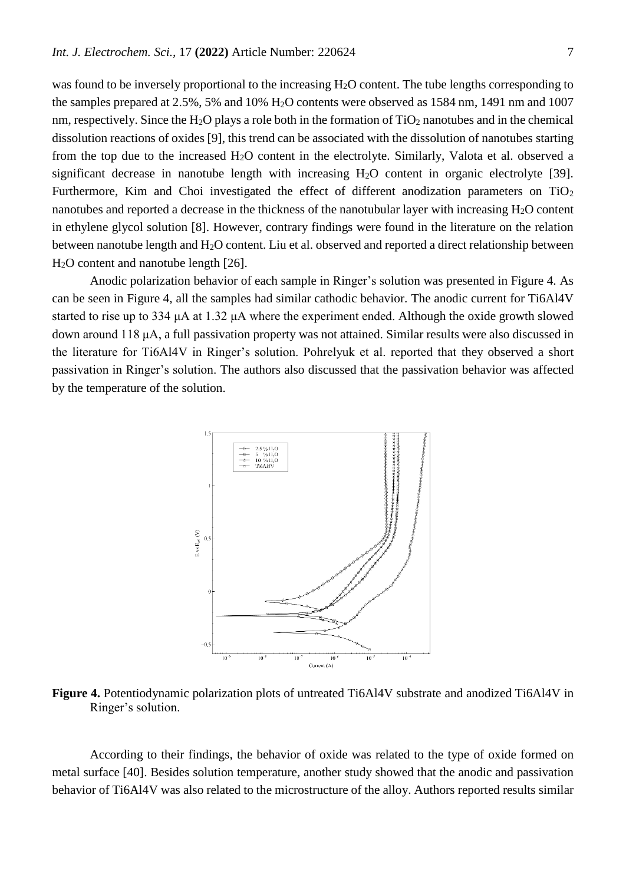was found to be inversely proportional to the increasing H2O content. The tube lengths corresponding to the samples prepared at 2.5%, 5% and 10% H2O contents were observed as 1584 nm, 1491 nm and 1007 nm, respectively. Since the H<sub>2</sub>O plays a role both in the formation of  $TiO<sub>2</sub>$  nanotubes and in the chemical dissolution reactions of oxides [9], this trend can be associated with the dissolution of nanotubes starting from the top due to the increased H2O content in the electrolyte. Similarly, Valota et al. observed a significant decrease in nanotube length with increasing  $H_2O$  content in organic electrolyte [39]. Furthermore, Kim and Choi investigated the effect of different anodization parameters on  $TiO<sub>2</sub>$ nanotubes and reported a decrease in the thickness of the nanotubular layer with increasing H2O content in ethylene glycol solution [8]. However, contrary findings were found in the literature on the relation between nanotube length and H<sub>2</sub>O content. Liu et al. observed and reported a direct relationship between H2O content and nanotube length [26].

Anodic polarization behavior of each sample in Ringer's solution was presented in Figure 4. As can be seen in Figure 4, all the samples had similar cathodic behavior. The anodic current for Ti6Al4V started to rise up to 334 μA at 1.32 μA where the experiment ended. Although the oxide growth slowed down around 118 μA, a full passivation property was not attained. Similar results were also discussed in the literature for Ti6Al4V in Ringer's solution. Pohrelyuk et al. reported that they observed a short passivation in Ringer's solution. The authors also discussed that the passivation behavior was affected by the temperature of the solution.



**Figure 4.** Potentiodynamic polarization plots of untreated Ti6Al4V substrate and anodized Ti6Al4V in Ringer's solution.

According to their findings, the behavior of oxide was related to the type of oxide formed on metal surface [40]. Besides solution temperature, another study showed that the anodic and passivation behavior of Ti6Al4V was also related to the microstructure of the alloy. Authors reported results similar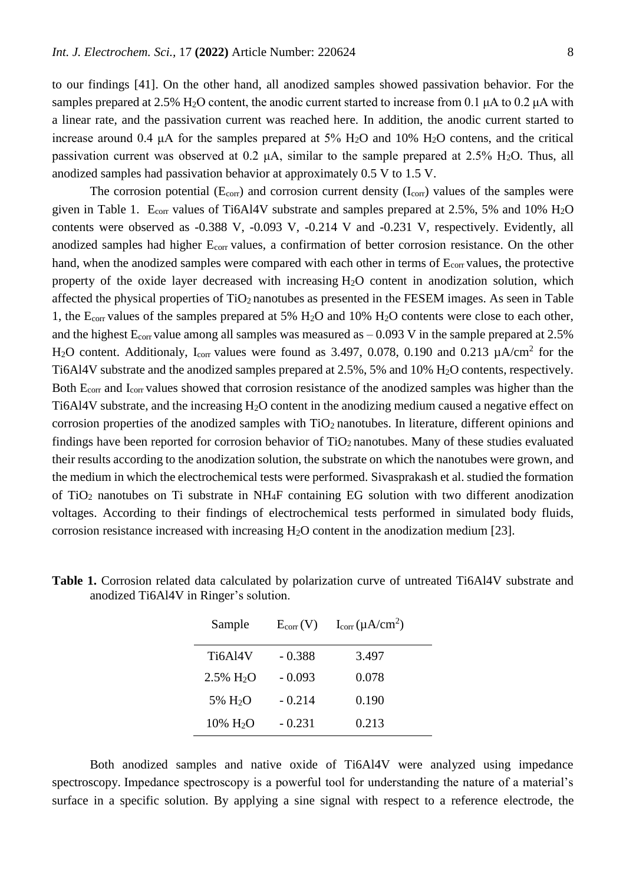to our findings [41]. On the other hand, all anodized samples showed passivation behavior. For the samples prepared at 2.5% H<sub>2</sub>O content, the anodic current started to increase from 0.1 μA to 0.2 μA with a linear rate, and the passivation current was reached here. In addition, the anodic current started to increase around 0.4  $\mu$ A for the samples prepared at 5% H<sub>2</sub>O and 10% H<sub>2</sub>O contens, and the critical passivation current was observed at 0.2  $\mu$ A, similar to the sample prepared at 2.5% H<sub>2</sub>O. Thus, all anodized samples had passivation behavior at approximately 0.5 V to 1.5 V.

The corrosion potential ( $E_{corr}$ ) and corrosion current density ( $I_{corr}$ ) values of the samples were given in Table 1. E<sub>corr</sub> values of Ti6Al4V substrate and samples prepared at 2.5%, 5% and 10% H<sub>2</sub>O contents were observed as -0.388 V, -0.093 V, -0.214 V and -0.231 V, respectively. Evidently, all anodized samples had higher E<sub>corr</sub> values, a confirmation of better corrosion resistance. On the other hand, when the anodized samples were compared with each other in terms of  $E_{corr}$  values, the protective property of the oxide layer decreased with increasing H2O content in anodization solution, which affected the physical properties of TiO<sub>2</sub> nanotubes as presented in the FESEM images. As seen in Table 1, the  $E_{corr}$  values of the samples prepared at 5%  $H_2O$  and 10%  $H_2O$  contents were close to each other, and the highest  $E_{\text{corr}}$  value among all samples was measured as  $-0.093$  V in the sample prepared at 2.5% H<sub>2</sub>O content. Additionaly, I<sub>corr</sub> values were found as 3.497, 0.078, 0.190 and 0.213  $\mu$ A/cm<sup>2</sup> for the Ti6Al4V substrate and the anodized samples prepared at 2.5%, 5% and 10% H2O contents, respectively. Both Ecorr and Icorr values showed that corrosion resistance of the anodized samples was higher than the Ti6Al4V substrate, and the increasing H2O content in the anodizing medium caused a negative effect on corrosion properties of the anodized samples with  $TiO<sub>2</sub>$  nanotubes. In literature, different opinions and findings have been reported for corrosion behavior of  $TiO<sub>2</sub>$  nanotubes. Many of these studies evaluated their results according to the anodization solution, the substrate on which the nanotubes were grown, and the medium in which the electrochemical tests were performed. Sivasprakash et al. studied the formation of TiO<sup>2</sup> nanotubes on Ti substrate in NH4F containing EG solution with two different anodization voltages. According to their findings of electrochemical tests performed in simulated body fluids, corrosion resistance increased with increasing  $H_2O$  content in the anodization medium [23].

| Sample                     | $E_{corr}(V)$ | $I_{corr}(\mu A/cm^2)$ |
|----------------------------|---------------|------------------------|
| Ti6Al4V                    | $-0.388$      | 3.497                  |
| $2.5\%$ H <sub>2</sub> O   | $-0.093$      | 0.078                  |
| 5% H <sub>2</sub> O        | $-0.214$      | 0.190                  |
| $10\% \text{ H}_2\text{O}$ | $-0.231$      | 0.213                  |

**Table 1.** Corrosion related data calculated by polarization curve of untreated Ti6Al4V substrate and anodized Ti6Al4V in Ringer's solution.

Both anodized samples and native oxide of Ti6Al4V were analyzed using impedance spectroscopy. Impedance spectroscopy is a powerful tool for understanding the nature of a material's surface in a specific solution. By applying a sine signal with respect to a reference electrode, the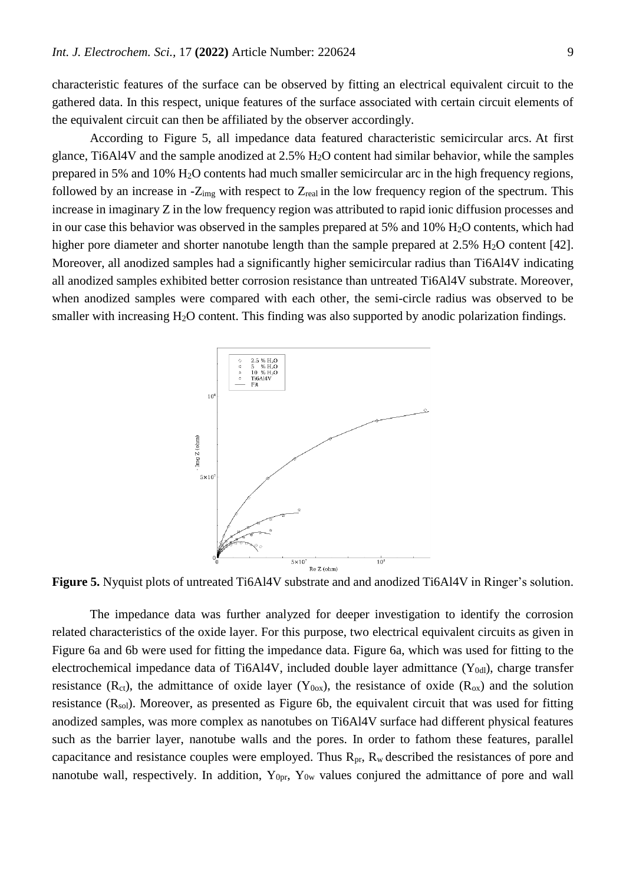characteristic features of the surface can be observed by fitting an electrical equivalent circuit to the gathered data. In this respect, unique features of the surface associated with certain circuit elements of the equivalent circuit can then be affiliated by the observer accordingly.

According to Figure 5, all impedance data featured characteristic semicircular arcs. At first glance, Ti6Al4V and the sample anodized at 2.5% H2O content had similar behavior, while the samples prepared in 5% and 10% H2O contents had much smaller semicircular arc in the high frequency regions, followed by an increase in  $-Z_{img}$  with respect to  $Z_{real}$  in the low frequency region of the spectrum. This increase in imaginary Z in the low frequency region was attributed to rapid ionic diffusion processes and in our case this behavior was observed in the samples prepared at  $5\%$  and  $10\%$  H<sub>2</sub>O contents, which had higher pore diameter and shorter nanotube length than the sample prepared at 2.5% H<sub>2</sub>O content [42]. Moreover, all anodized samples had a significantly higher semicircular radius than Ti6Al4V indicating all anodized samples exhibited better corrosion resistance than untreated Ti6Al4V substrate. Moreover, when anodized samples were compared with each other, the semi-circle radius was observed to be smaller with increasing H<sub>2</sub>O content. This finding was also supported by anodic polarization findings.



**Figure 5.** Nyquist plots of untreated Ti6Al4V substrate and and anodized Ti6Al4V in Ringer's solution.

The impedance data was further analyzed for deeper investigation to identify the corrosion related characteristics of the oxide layer. For this purpose, two electrical equivalent circuits as given in Figure 6a and 6b were used for fitting the impedance data. Figure 6a, which was used for fitting to the electrochemical impedance data of Ti6Al4V, included double layer admittance  $(Y_{0d}$ , charge transfer resistance ( $R_{ct}$ ), the admittance of oxide layer ( $Y_{0ox}$ ), the resistance of oxide ( $R_{ox}$ ) and the solution resistance  $(R_{sol})$ . Moreover, as presented as Figure 6b, the equivalent circuit that was used for fitting anodized samples, was more complex as nanotubes on Ti6Al4V surface had different physical features such as the barrier layer, nanotube walls and the pores. In order to fathom these features, parallel capacitance and resistance couples were employed. Thus  $R_{pr}$ ,  $R_w$  described the resistances of pore and nanotube wall, respectively. In addition,  $Y_{0pr}$ ,  $Y_{0w}$  values conjured the admittance of pore and wall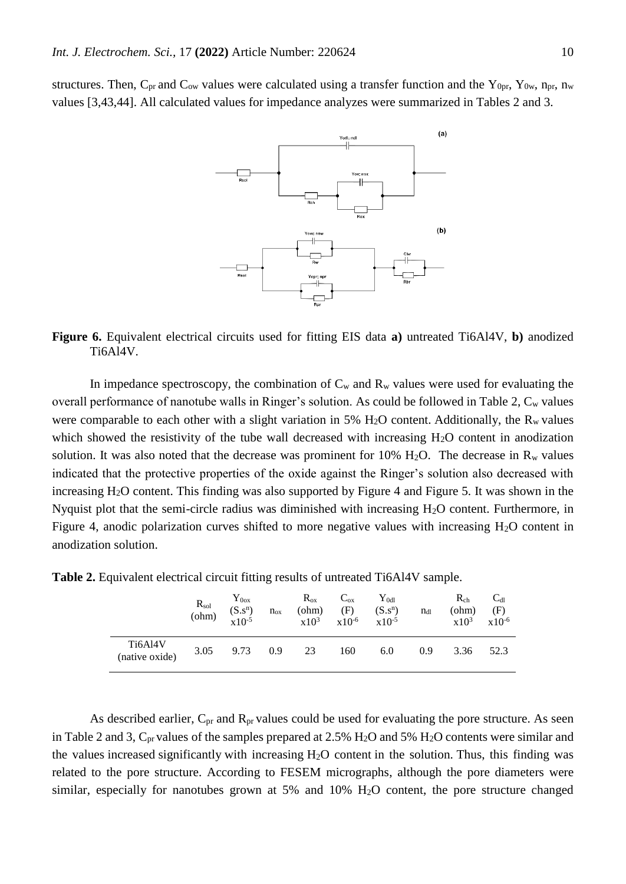structures. Then,  $C_{pr}$  and  $C_{ow}$  values were calculated using a transfer function and the  $Y_{0pr}$ ,  $Y_{0w}$ ,  $n_{pr}$ ,  $n_{w}$ values [3,43,44]. All calculated values for impedance analyzes were summarized in Tables 2 and 3.



**Figure 6.** Equivalent electrical circuits used for fitting EIS data **a)** untreated Ti6Al4V, **b)** anodized Ti6Al4V.

In impedance spectroscopy, the combination of  $C_w$  and  $R_w$  values were used for evaluating the overall performance of nanotube walls in Ringer's solution. As could be followed in Table 2,  $C_w$  values were comparable to each other with a slight variation in 5%  $H_2O$  content. Additionally, the  $R_w$  values which showed the resistivity of the tube wall decreased with increasing  $H_2O$  content in anodization solution. It was also noted that the decrease was prominent for 10%  $H_2O$ . The decrease in R<sub>w</sub> values indicated that the protective properties of the oxide against the Ringer's solution also decreased with increasing H<sub>2</sub>O content. This finding was also supported by Figure 4 and Figure 5. It was shown in the Nyquist plot that the semi-circle radius was diminished with increasing H2O content. Furthermore, in Figure 4, anodic polarization curves shifted to more negative values with increasing  $H_2O$  content in anodization solution.

**Table 2.** Equivalent electrical circuit fitting results of untreated Ti6Al4V sample.

|                           | $R_{sol}$<br>(ohm) | ${\rm Y_{0ox}}$<br>$(S.s^n)$<br>$x10^{-5}$ | $n_{ox}$ | $R_{ox}$<br>$ohm$<br>$x10^3$ | $C_{ox}$<br>(F)<br>$x10^{-6}$ | $\rm Y_{0d1}$<br>$(S.s^n)$<br>$x10^{-5}$ | $n_{dl}$ | $R_{ch}$<br>(ohm)<br>$x10^3$ | $C_{dl}$<br>(F)<br>$x10^{-6}$ |
|---------------------------|--------------------|--------------------------------------------|----------|------------------------------|-------------------------------|------------------------------------------|----------|------------------------------|-------------------------------|
| Ti6Al4V<br>(native oxide) | 3.05               | 9.73                                       | 0.9      | 23                           | 160                           | 6.0                                      | 0.9      | 3.36                         | 52.3                          |

As described earlier,  $C_{pr}$  and  $R_{pr}$  values could be used for evaluating the pore structure. As seen in Table 2 and 3,  $C_{pr}$  values of the samples prepared at 2.5%  $H_2O$  and 5%  $H_2O$  contents were similar and the values increased significantly with increasing  $H_2O$  content in the solution. Thus, this finding was related to the pore structure. According to FESEM micrographs, although the pore diameters were similar, especially for nanotubes grown at 5% and 10% H<sub>2</sub>O content, the pore structure changed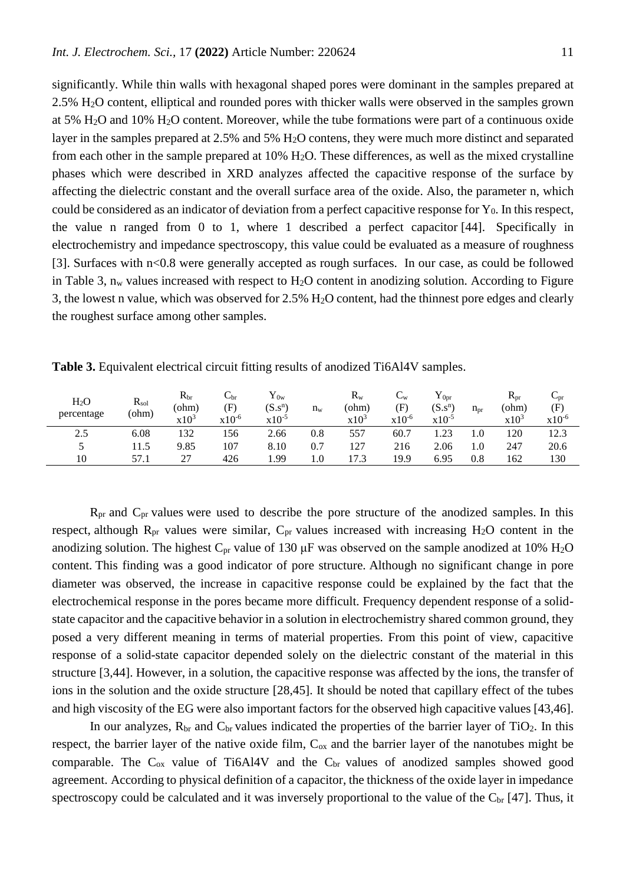significantly. While thin walls with hexagonal shaped pores were dominant in the samples prepared at 2.5% H2O content, elliptical and rounded pores with thicker walls were observed in the samples grown at 5% H2O and 10% H2O content. Moreover, while the tube formations were part of a continuous oxide layer in the samples prepared at 2.5% and 5% H2O contens, they were much more distinct and separated from each other in the sample prepared at 10% H2O. These differences, as well as the mixed crystalline phases which were described in XRD analyzes affected the capacitive response of the surface by affecting the dielectric constant and the overall surface area of the oxide. Also, the parameter n, which could be considered as an indicator of deviation from a perfect capacitive response for  $Y_0$ . In this respect, the value n ranged from 0 to 1, where 1 described a perfect capacitor [44]. Specifically in electrochemistry and impedance spectroscopy, this value could be evaluated as a measure of roughness [3]. Surfaces with  $n < 0.8$  were generally accepted as rough surfaces. In our case, as could be followed in Table 3, n<sub>w</sub> values increased with respect to H<sub>2</sub>O content in anodizing solution. According to Figure 3, the lowest n value, which was observed for 2.5% H2O content, had the thinnest pore edges and clearly the roughest surface among other samples.

| H <sub>2</sub> O<br>percentage | $R_{sol}$<br>(ohm) | $R_{\rm br}$<br>(ohm)<br>$x10^3$ | $\cup$ <sub>br</sub><br>(F)<br>$x10^{-6}$ | ${\rm Y_{0w}}$<br>$(S.s^n)$<br>$x10^{-5}$ | $n_{w}$ | $R_{w}$<br>(ohm)<br>$x10^3$ | $\mathsf{L}_\mathrm{W}$<br>(F)<br>$x10^{-6}$ | $Y_{0pr}$<br>$(S.s^n)$<br>$x10^{-5}$ | $n_{pr}$ | $R_{pr}$<br>(ohm)<br>$x10^3$ | $\cup_{\text{pr}}$<br>(F)<br>$x10^{-6}$ |
|--------------------------------|--------------------|----------------------------------|-------------------------------------------|-------------------------------------------|---------|-----------------------------|----------------------------------------------|--------------------------------------|----------|------------------------------|-----------------------------------------|
| 2.5                            | 6.08               | 132                              | 156                                       | 2.66                                      | 0.8     | 557                         | 60.7                                         | 1.23                                 | 1.0      | 120                          | 12.3                                    |
|                                | 11.5               | 9.85                             | 107                                       | 8.10                                      | 0.7     | 127                         | 216                                          | 2.06                                 | 1.0      | 247                          | 20.6                                    |
| 10                             | 57.1               | 27                               | 426                                       | .99                                       | 0.1     | 17.3                        | 19.9                                         | 6.95                                 | 0.8      | 162                          | 130                                     |

**Table 3.** Equivalent electrical circuit fitting results of anodized Ti6Al4V samples.

Rpr and Cpr values were used to describe the pore structure of the anodized samples. In this respect, although  $R_{pr}$  values were similar,  $C_{pr}$  values increased with increasing  $H_2O$  content in the anodizing solution. The highest  $C_{pr}$  value of 130  $\mu$ F was observed on the sample anodized at 10% H<sub>2</sub>O content. This finding was a good indicator of pore structure. Although no significant change in pore diameter was observed, the increase in capacitive response could be explained by the fact that the electrochemical response in the pores became more difficult. Frequency dependent response of a solidstate capacitor and the capacitive behavior in a solution in electrochemistry shared common ground, they posed a very different meaning in terms of material properties. From this point of view, capacitive response of a solid-state capacitor depended solely on the dielectric constant of the material in this structure [3,44]. However, in a solution, the capacitive response was affected by the ions, the transfer of ions in the solution and the oxide structure [28,45]. It should be noted that capillary effect of the tubes and high viscosity of the EG were also important factors for the observed high capacitive values [43,46].

In our analyzes,  $R_{\text{br}}$  and  $C_{\text{br}}$  values indicated the properties of the barrier layer of TiO<sub>2</sub>. In this respect, the barrier layer of the native oxide film,  $C_{ox}$  and the barrier layer of the nanotubes might be comparable. The  $C_{ox}$  value of Ti6Al4V and the  $C_{br}$  values of anodized samples showed good agreement. According to physical definition of a capacitor, the thickness of the oxide layer in impedance spectroscopy could be calculated and it was inversely proportional to the value of the  $C_{\text{br}}$  [47]. Thus, it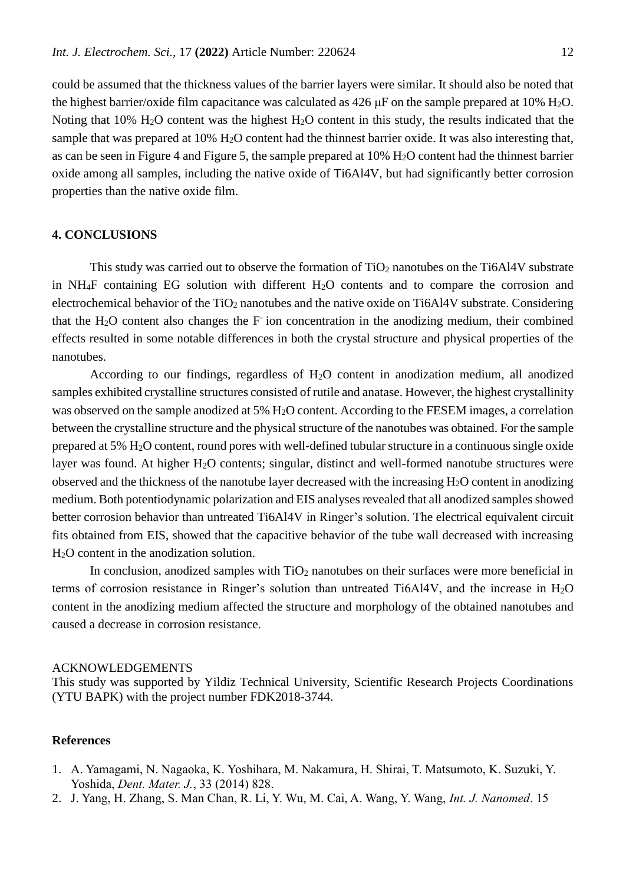could be assumed that the thickness values of the barrier layers were similar. It should also be noted that the highest barrier/oxide film capacitance was calculated as  $426 \text{ }\mu\text{F}$  on the sample prepared at 10% H<sub>2</sub>O. Noting that  $10\%$  H<sub>2</sub>O content was the highest H<sub>2</sub>O content in this study, the results indicated that the sample that was prepared at 10% H<sub>2</sub>O content had the thinnest barrier oxide. It was also interesting that, as can be seen in Figure 4 and Figure 5, the sample prepared at 10% H2O content had the thinnest barrier oxide among all samples, including the native oxide of Ti6Al4V, but had significantly better corrosion properties than the native oxide film.

# **4. CONCLUSIONS**

This study was carried out to observe the formation of  $TiO<sub>2</sub>$  nanotubes on the Ti6Al4V substrate in  $NH<sub>4</sub>F$  containing EG solution with different  $H<sub>2</sub>O$  contents and to compare the corrosion and electrochemical behavior of the  $TiO<sub>2</sub>$  nanotubes and the native oxide on Ti6Al4V substrate. Considering that the  $H_2O$  content also changes the  $F$  ion concentration in the anodizing medium, their combined effects resulted in some notable differences in both the crystal structure and physical properties of the nanotubes.

According to our findings, regardless of H2O content in anodization medium, all anodized samples exhibited crystalline structures consisted of rutile and anatase. However, the highest crystallinity was observed on the sample anodized at 5% H<sub>2</sub>O content. According to the FESEM images, a correlation between the crystalline structure and the physical structure of the nanotubes was obtained. For the sample prepared at 5% H2O content, round pores with well-defined tubular structure in a continuous single oxide layer was found. At higher H<sub>2</sub>O contents; singular, distinct and well-formed nanotube structures were observed and the thickness of the nanotube layer decreased with the increasing H2O content in anodizing medium. Both potentiodynamic polarization and EIS analyses revealed that all anodized samples showed better corrosion behavior than untreated Ti6Al4V in Ringer's solution. The electrical equivalent circuit fits obtained from EIS, showed that the capacitive behavior of the tube wall decreased with increasing H2O content in the anodization solution.

In conclusion, anodized samples with  $TiO<sub>2</sub>$  nanotubes on their surfaces were more beneficial in terms of corrosion resistance in Ringer's solution than untreated Ti6Al4V, and the increase in  $H_2O$ content in the anodizing medium affected the structure and morphology of the obtained nanotubes and caused a decrease in corrosion resistance.

#### ACKNOWLEDGEMENTS

This study was supported by Yildiz Technical University, Scientific Research Projects Coordinations (YTU BAPK) with the project number FDK2018-3744.

### **References**

- 1. A. Yamagami, N. Nagaoka, K. Yoshihara, M. Nakamura, H. Shirai, T. Matsumoto, K. Suzuki, Y. Yoshida, *Dent. Mater. J.*, 33 (2014) 828.
- 2. J. Yang, H. Zhang, S. Man Chan, R. Li, Y. Wu, M. Cai, A. Wang, Y. Wang, *Int. J. Nanomed*. 15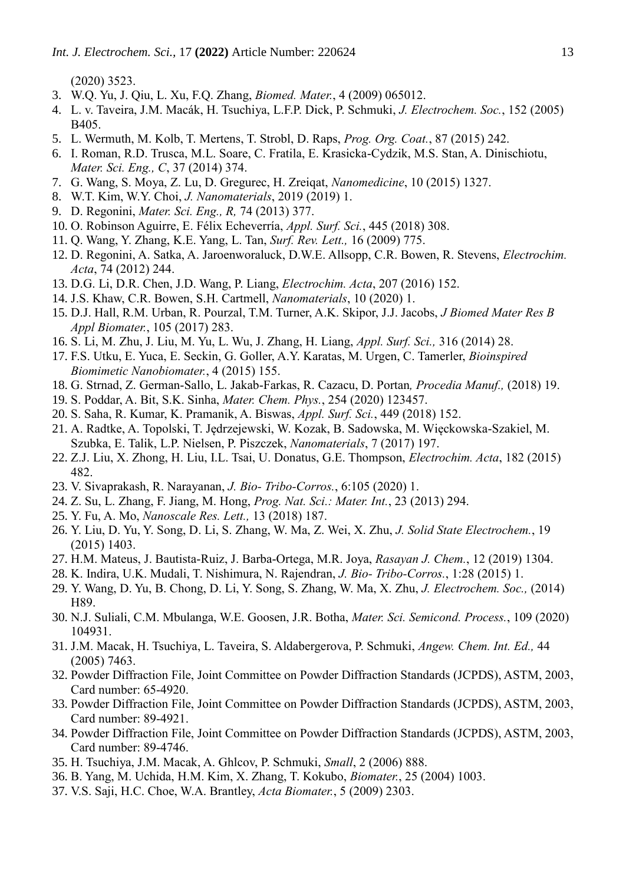(2020) 3523.

- 3. W.Q. Yu, J. Qiu, L. Xu, F.Q. Zhang, *Biomed. Mater.*, 4 (2009) 065012.
- 4. L. v. Taveira, J.M. Macák, H. Tsuchiya, L.F.P. Dick, P. Schmuki, *J. Electrochem. Soc.*, 152 (2005) B405.
- 5. L. Wermuth, M. Kolb, T. Mertens, T. Strobl, D. Raps, *Prog. Org. Coat.*, 87 (2015) 242.
- 6. I. Roman, R.D. Trusca, M.L. Soare, C. Fratila, E. Krasicka-Cydzik, M.S. Stan, A. Dinischiotu, *Mater. Sci. Eng., C*, 37 (2014) 374.
- 7. G. Wang, S. Moya, Z. Lu, D. Gregurec, H. Zreiqat, *Nanomedicine*, 10 (2015) 1327.
- 8. W.T. Kim, W.Y. Choi, *J. Nanomaterials*, 2019 (2019) 1.
- 9. D. Regonini, *Mater. Sci. Eng., R,* 74 (2013) 377.
- 10. O. Robinson Aguirre, E. Félix Echeverría, *Appl. Surf. Sci.*, 445 (2018) 308.
- 11. Q. Wang, Y. Zhang, K.E. Yang, L. Tan, *Surf. Rev. Lett.,* 16 (2009) 775.
- 12. D. Regonini, A. Satka, A. Jaroenworaluck, D.W.E. Allsopp, C.R. Bowen, R. Stevens, *Electrochim. Acta*, 74 (2012) 244.
- 13. D.G. Li, D.R. Chen, J.D. Wang, P. Liang, *Electrochim. Acta*, 207 (2016) 152.
- 14. J.S. Khaw, C.R. Bowen, S.H. Cartmell, *Nanomaterials*, 10 (2020) 1.
- 15. D.J. Hall, R.M. Urban, R. Pourzal, T.M. Turner, A.K. Skipor, J.J. Jacobs, *J Biomed Mater Res B Appl Biomater.*, 105 (2017) 283.
- 16. S. Li, M. Zhu, J. Liu, M. Yu, L. Wu, J. Zhang, H. Liang, *Appl. Surf. Sci.,* 316 (2014) 28.
- 17. F.S. Utku, E. Yuca, E. Seckin, G. Goller, A.Y. Karatas, M. Urgen, C. Tamerler, *Bioinspired Biomimetic Nanobiomater.*, 4 (2015) 155.
- 18. G. Strnad, Z. German-Sallo, L. Jakab-Farkas, R. Cazacu, D. Portan*, Procedia Manuf.,* (2018) 19.
- 19. S. Poddar, A. Bit, S.K. Sinha, *Mater. Chem. Phys.*, 254 (2020) 123457.
- 20. S. Saha, R. Kumar, K. Pramanik, A. Biswas, *Appl. Surf. Sci.*, 449 (2018) 152.
- 21. A. Radtke, A. Topolski, T. Jędrzejewski, W. Kozak, B. Sadowska, M. Więckowska-Szakiel, M. Szubka, E. Talik, L.P. Nielsen, P. Piszczek, *Nanomaterials*, 7 (2017) 197.
- 22. Z.J. Liu, X. Zhong, H. Liu, I.L. Tsai, U. Donatus, G.E. Thompson, *Electrochim. Acta*, 182 (2015) 482.
- 23. V. Sivaprakash, R. Narayanan, *J. Bio- Tribo-Corros.*, 6:105 (2020) 1.
- 24. Z. Su, L. Zhang, F. Jiang, M. Hong, *Prog. Nat. Sci.: Mater. Int.*, 23 (2013) 294.
- 25. Y. Fu, A. Mo, *Nanoscale Res. Lett.,* 13 (2018) 187.
- 26. Y. Liu, D. Yu, Y. Song, D. Li, S. Zhang, W. Ma, Z. Wei, X. Zhu, *J. Solid State Electrochem.*, 19 (2015) 1403.
- 27. H.M. Mateus, J. Bautista-Ruiz, J. Barba-Ortega, M.R. Joya, *Rasayan J. Chem.*, 12 (2019) 1304.
- 28. K. Indira, U.K. Mudali, T. Nishimura, N. Rajendran, *J. Bio- Tribo-Corros.*, 1:28 (2015) 1.
- 29. Y. Wang, D. Yu, B. Chong, D. Li, Y. Song, S. Zhang, W. Ma, X. Zhu, *J. Electrochem. Soc.,* (2014) H89.
- 30. N.J. Suliali, C.M. Mbulanga, W.E. Goosen, J.R. Botha, *Mater. Sci. Semicond. Process.*, 109 (2020) 104931.
- 31. J.M. Macak, H. Tsuchiya, L. Taveira, S. Aldabergerova, P. Schmuki, *Angew. Chem. Int. Ed.,* 44 (2005) 7463.
- 32. Powder Diffraction File, Joint Committee on Powder Diffraction Standards (JCPDS), ASTM, 2003, Card number: 65-4920.
- 33. Powder Diffraction File, Joint Committee on Powder Diffraction Standards (JCPDS), ASTM, 2003, Card number: 89-4921.
- 34. Powder Diffraction File, Joint Committee on Powder Diffraction Standards (JCPDS), ASTM, 2003, Card number: 89-4746.
- 35. H. Tsuchiya, J.M. Macak, A. Ghlcov, P. Schmuki, *Small*, 2 (2006) 888.
- 36. B. Yang, M. Uchida, H.M. Kim, X. Zhang, T. Kokubo, *Biomater.*, 25 (2004) 1003.
- 37. V.S. Saji, H.C. Choe, W.A. Brantley, *Acta Biomater.*, 5 (2009) 2303.